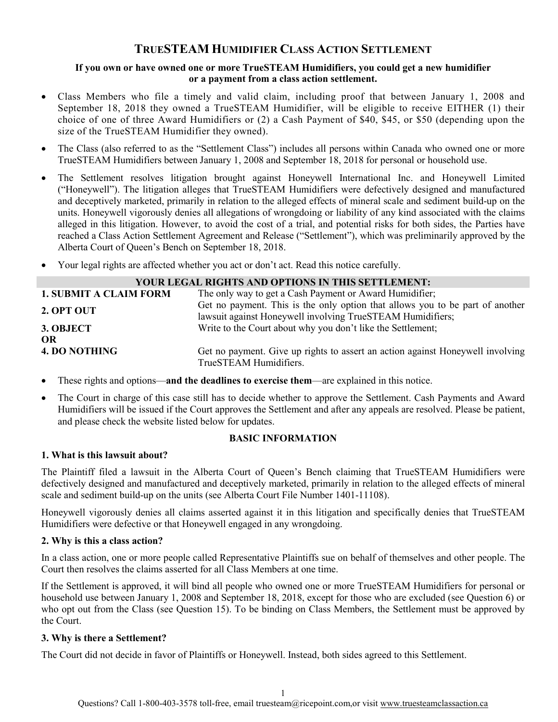# **TRUESTEAM HUMIDIFIER CLASS ACTION SETTLEMENT**

### **If you own or have owned one or more TrueSTEAM Humidifiers, you could get a new humidifier or a payment from a class action settlement.**

- Class Members who file a timely and valid claim, including proof that between January 1, 2008 and September 18, 2018 they owned a TrueSTEAM Humidifier, will be eligible to receive EITHER (1) their choice of one of three Award Humidifiers or (2) a Cash Payment of \$40, \$45, or \$50 (depending upon the size of the TrueSTEAM Humidifier they owned).
- The Class (also referred to as the "Settlement Class") includes all persons within Canada who owned one or more TrueSTEAM Humidifiers between January 1, 2008 and September 18, 2018 for personal or household use.
- The Settlement resolves litigation brought against Honeywell International Inc. and Honeywell Limited ("Honeywell"). The litigation alleges that TrueSTEAM Humidifiers were defectively designed and manufactured and deceptively marketed, primarily in relation to the alleged effects of mineral scale and sediment build-up on the units. Honeywell vigorously denies all allegations of wrongdoing or liability of any kind associated with the claims alleged in this litigation. However, to avoid the cost of a trial, and potential risks for both sides, the Parties have reached a Class Action Settlement Agreement and Release ("Settlement"), which was preliminarily approved by the Alberta Court of Queen's Bench on September 18, 2018.
- Your legal rights are affected whether you act or don't act. Read this notice carefully.

| YOUR LEGAL RIGHTS AND OPTIONS IN THIS SETTLEMENT: |                                                                                                                                             |
|---------------------------------------------------|---------------------------------------------------------------------------------------------------------------------------------------------|
| <b>1. SUBMIT A CLAIM FORM</b>                     | The only way to get a Cash Payment or Award Humidifier;                                                                                     |
| 2. OPT OUT                                        | Get no payment. This is the only option that allows you to be part of another<br>lawsuit against Honeywell involving TrueSTEAM Humidifiers; |
| 3. OBJECT                                         | Write to the Court about why you don't like the Settlement;                                                                                 |
| <b>OR</b>                                         |                                                                                                                                             |
| <b>4. DO NOTHING</b>                              | Get no payment. Give up rights to assert an action against Honeywell involving<br>TrueSTEAM Humidifiers.                                    |

- These rights and options—**and the deadlines to exercise them**—are explained in this notice.
- The Court in charge of this case still has to decide whether to approve the Settlement. Cash Payments and Award Humidifiers will be issued if the Court approves the Settlement and after any appeals are resolved. Please be patient, and please check the website listed below for updates.

# **BASIC INFORMATION**

### **1. What is this lawsuit about?**

The Plaintiff filed a lawsuit in the Alberta Court of Queen's Bench claiming that TrueSTEAM Humidifiers were defectively designed and manufactured and deceptively marketed, primarily in relation to the alleged effects of mineral scale and sediment build-up on the units (see Alberta Court File Number 1401-11108).

Honeywell vigorously denies all claims asserted against it in this litigation and specifically denies that TrueSTEAM Humidifiers were defective or that Honeywell engaged in any wrongdoing.

# **2. Why is this a class action?**

In a class action, one or more people called Representative Plaintiffs sue on behalf of themselves and other people. The Court then resolves the claims asserted for all Class Members at one time.

If the Settlement is approved, it will bind all people who owned one or more TrueSTEAM Humidifiers for personal or household use between January 1, 2008 and September 18, 2018, except for those who are excluded (see Question 6) or who opt out from the Class (see Question 15). To be binding on Class Members, the Settlement must be approved by the Court.

### **3. Why is there a Settlement?**

The Court did not decide in favor of Plaintiffs or Honeywell. Instead, both sides agreed to this Settlement.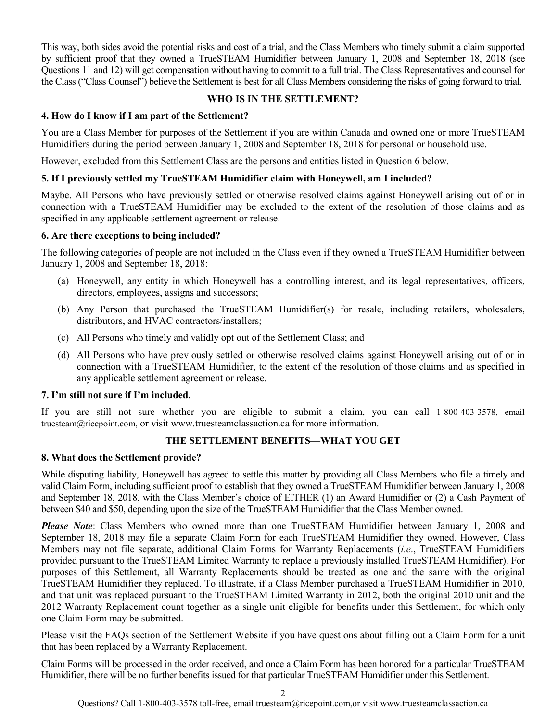This way, both sides avoid the potential risks and cost of a trial, and the Class Members who timely submit a claim supported by sufficient proof that they owned a TrueSTEAM Humidifier between January 1, 2008 and September 18, 2018 (see Questions 11 and 12) will get compensation without having to commit to a full trial. The Class Representatives and counsel for the Class ("Class Counsel") believe the Settlement is best for all Class Members considering the risks of going forward to trial.

# **WHO IS IN THE SETTLEMENT?**

# **4. How do I know if I am part of the Settlement?**

You are a Class Member for purposes of the Settlement if you are within Canada and owned one or more TrueSTEAM Humidifiers during the period between January 1, 2008 and September 18, 2018 for personal or household use.

However, excluded from this Settlement Class are the persons and entities listed in Question 6 below.

## **5. If I previously settled my TrueSTEAM Humidifier claim with Honeywell, am I included?**

Maybe. All Persons who have previously settled or otherwise resolved claims against Honeywell arising out of or in connection with a TrueSTEAM Humidifier may be excluded to the extent of the resolution of those claims and as specified in any applicable settlement agreement or release.

### **6. Are there exceptions to being included?**

The following categories of people are not included in the Class even if they owned a TrueSTEAM Humidifier between January 1, 2008 and September 18, 2018:

- (a) Honeywell, any entity in which Honeywell has a controlling interest, and its legal representatives, officers, directors, employees, assigns and successors;
- (b) Any Person that purchased the TrueSTEAM Humidifier(s) for resale, including retailers, wholesalers, distributors, and HVAC contractors/installers;
- (c) All Persons who timely and validly opt out of the Settlement Class; and
- (d) All Persons who have previously settled or otherwise resolved claims against Honeywell arising out of or in connection with a TrueSTEAM Humidifier, to the extent of the resolution of those claims and as specified in any applicable settlement agreement or release.

### **7. I'm still not sure if I'm included.**

If you are still not sure whether you are eligible to submit a claim, you can call 1-800-403-3578, email truesteam@ricepoint.com, or visit [www.truesteamclassaction.ca](http://www.truesteamclassaction.ca/) for more information.

# **THE SETTLEMENT BENEFITS—WHAT YOU GET**

### **8. What does the Settlement provide?**

While disputing liability, Honeywell has agreed to settle this matter by providing all Class Members who file a timely and valid Claim Form, including sufficient proof to establish that they owned a TrueSTEAM Humidifier between January 1, 2008 and September 18, 2018, with the Class Member's choice of EITHER (1) an Award Humidifier or (2) a Cash Payment of between \$40 and \$50, depending upon the size of the TrueSTEAM Humidifier that the Class Member owned.

*Please Note*: Class Members who owned more than one TrueSTEAM Humidifier between January 1, 2008 and September 18, 2018 may file a separate Claim Form for each TrueSTEAM Humidifier they owned. However, Class Members may not file separate, additional Claim Forms for Warranty Replacements (*i.e*., TrueSTEAM Humidifiers provided pursuant to the TrueSTEAM Limited Warranty to replace a previously installed TrueSTEAM Humidifier). For purposes of this Settlement, all Warranty Replacements should be treated as one and the same with the original TrueSTEAM Humidifier they replaced. To illustrate, if a Class Member purchased a TrueSTEAM Humidifier in 2010, and that unit was replaced pursuant to the TrueSTEAM Limited Warranty in 2012, both the original 2010 unit and the 2012 Warranty Replacement count together as a single unit eligible for benefits under this Settlement, for which only one Claim Form may be submitted.

Please visit the FAQs section of the Settlement Website if you have questions about filling out a Claim Form for a unit that has been replaced by a Warranty Replacement.

Claim Forms will be processed in the order received, and once a Claim Form has been honored for a particular TrueSTEAM Humidifier, there will be no further benefits issued for that particular TrueSTEAM Humidifier under this Settlement.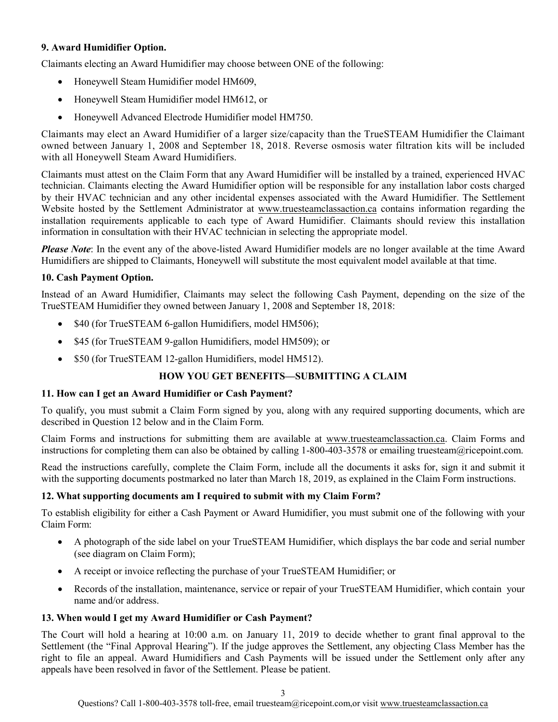# **9. Award Humidifier Option.**

Claimants electing an Award Humidifier may choose between ONE of the following:

- Honeywell Steam Humidifier model HM609,
- Honeywell Steam Humidifier model HM612, or
- Honeywell Advanced Electrode Humidifier model HM750.

Claimants may elect an Award Humidifier of a larger size/capacity than the TrueSTEAM Humidifier the Claimant owned between January 1, 2008 and September 18, 2018. Reverse osmosis water filtration kits will be included with all Honeywell Steam Award Humidifiers.

Claimants must attest on the Claim Form that any Award Humidifier will be installed by a trained, experienced HVAC technician. Claimants electing the Award Humidifier option will be responsible for any installation labor costs charged by their HVAC technician and any other incidental expenses associated with the Award Humidifier. The Settlement Website hosted by the Settlement Administrator at [www.truesteamclassaction.ca](http://www.truesteamclassaction.ca/) contains information regarding the installation requirements applicable to each type of Award Humidifier. Claimants should review this installation information in consultation with their HVAC technician in selecting the appropriate model.

*Please Note*: In the event any of the above-listed Award Humidifier models are no longer available at the time Award Humidifiers are shipped to Claimants, Honeywell will substitute the most equivalent model available at that time.

# **10. Cash Payment Option.**

Instead of an Award Humidifier, Claimants may select the following Cash Payment, depending on the size of the TrueSTEAM Humidifier they owned between January 1, 2008 and September 18, 2018:

- \$40 (for TrueSTEAM 6-gallon Humidifiers, model HM506);
- \$45 (for TrueSTEAM 9-gallon Humidifiers, model HM509); or
- \$50 (for TrueSTEAM 12-gallon Humidifiers, model HM512).

# **HOW YOU GET BENEFITS—SUBMITTING A CLAIM**

# **11. How can I get an Award Humidifier or Cash Payment?**

To qualify, you must submit a Claim Form signed by you, along with any required supporting documents, which are described in Question 12 below and in the Claim Form.

Claim Forms and instructions for submitting them are available at [www.truesteamclassaction.ca.](http://www.truesteamclassaction.ca/) Claim Forms and instructions for completing them can also be obtained by calling 1-800-403-3578 or emailing truesteam@ricepoint.com.

Read the instructions carefully, complete the Claim Form, include all the documents it asks for, sign it and submit it with the supporting documents postmarked no later than March 18, 2019, as explained in the Claim Form instructions.

# **12. What supporting documents am I required to submit with my Claim Form?**

To establish eligibility for either a Cash Payment or Award Humidifier, you must submit one of the following with your Claim Form:

- A photograph of the side label on your TrueSTEAM Humidifier, which displays the bar code and serial number (see diagram on Claim Form);
- A receipt or invoice reflecting the purchase of your TrueSTEAM Humidifier; or
- Records of the installation, maintenance, service or repair of your TrueSTEAM Humidifier, which contain your name and/or address.

# **13. When would I get my Award Humidifier or Cash Payment?**

The Court will hold a hearing at 10:00 a.m. on January 11, 2019 to decide whether to grant final approval to the Settlement (the "Final Approval Hearing"). If the judge approves the Settlement, any objecting Class Member has the right to file an appeal. Award Humidifiers and Cash Payments will be issued under the Settlement only after any appeals have been resolved in favor of the Settlement. Please be patient.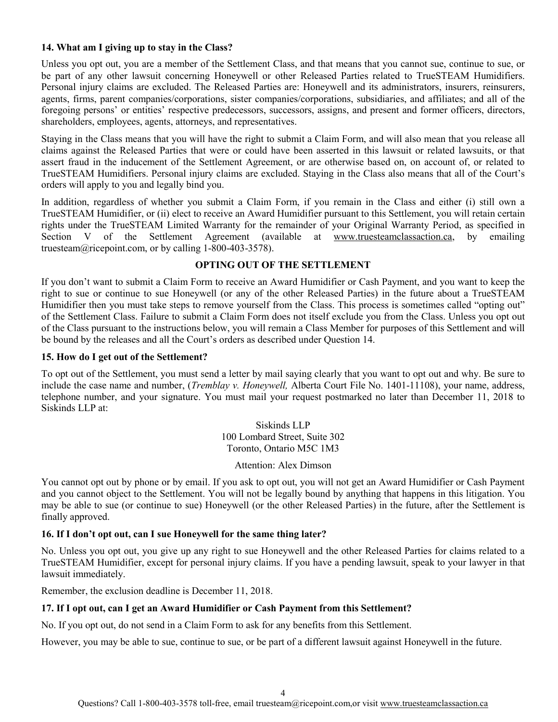### **14. What am I giving up to stay in the Class?**

Unless you opt out, you are a member of the Settlement Class, and that means that you cannot sue, continue to sue, or be part of any other lawsuit concerning Honeywell or other Released Parties related to TrueSTEAM Humidifiers. Personal injury claims are excluded. The Released Parties are: Honeywell and its administrators, insurers, reinsurers, agents, firms, parent companies/corporations, sister companies/corporations, subsidiaries, and affiliates; and all of the foregoing persons' or entities' respective predecessors, successors, assigns, and present and former officers, directors, shareholders, employees, agents, attorneys, and representatives.

Staying in the Class means that you will have the right to submit a Claim Form, and will also mean that you release all claims against the Released Parties that were or could have been asserted in this lawsuit or related lawsuits, or that assert fraud in the inducement of the Settlement Agreement, or are otherwise based on, on account of, or related to TrueSTEAM Humidifiers. Personal injury claims are excluded. Staying in the Class also means that all of the Court's orders will apply to you and legally bind you.

In addition, regardless of whether you submit a Claim Form, if you remain in the Class and either (i) still own a TrueSTEAM Humidifier, or (ii) elect to receive an Award Humidifier pursuant to this Settlement, you will retain certain rights under the TrueSTEAM Limited Warranty for the remainder of your Original Warranty Period, as specified in Section V of the Settlement Agreement (available at [www.truesteamclassaction.ca,](http://www.truesteamclassaction.ca/) by emailing [truesteam@ricepoint.com,](mailto:truesteam@ricepoint.com) or by calling 1-800-403-3578).

# **OPTING OUT OF THE SETTLEMENT**

If you don't want to submit a Claim Form to receive an Award Humidifier or Cash Payment, and you want to keep the right to sue or continue to sue Honeywell (or any of the other Released Parties) in the future about a TrueSTEAM Humidifier then you must take steps to remove yourself from the Class. This process is sometimes called "opting out" of the Settlement Class. Failure to submit a Claim Form does not itself exclude you from the Class. Unless you opt out of the Class pursuant to the instructions below, you will remain a Class Member for purposes of this Settlement and will be bound by the releases and all the Court's orders as described under Question 14.

# **15. How do I get out of the Settlement?**

To opt out of the Settlement, you must send a letter by mail saying clearly that you want to opt out and why. Be sure to include the case name and number, (*Tremblay v. Honeywell,* Alberta Court File No. 1401-11108), your name, address, telephone number, and your signature. You must mail your request postmarked no later than December 11, 2018 to Siskinds LLP at:

> Siskinds LLP 100 Lombard Street, Suite 302 Toronto, Ontario M5C 1M3

> > Attention: Alex Dimson

You cannot opt out by phone or by email. If you ask to opt out, you will not get an Award Humidifier or Cash Payment and you cannot object to the Settlement. You will not be legally bound by anything that happens in this litigation. You may be able to sue (or continue to sue) Honeywell (or the other Released Parties) in the future, after the Settlement is finally approved.

# **16. If I don't opt out, can I sue Honeywell for the same thing later?**

No. Unless you opt out, you give up any right to sue Honeywell and the other Released Parties for claims related to a TrueSTEAM Humidifier, except for personal injury claims. If you have a pending lawsuit, speak to your lawyer in that lawsuit immediately.

Remember, the exclusion deadline is December 11, 2018.

# **17. If I opt out, can I get an Award Humidifier or Cash Payment from this Settlement?**

No. If you opt out, do not send in a Claim Form to ask for any benefits from this Settlement.

However, you may be able to sue, continue to sue, or be part of a different lawsuit against Honeywell in the future.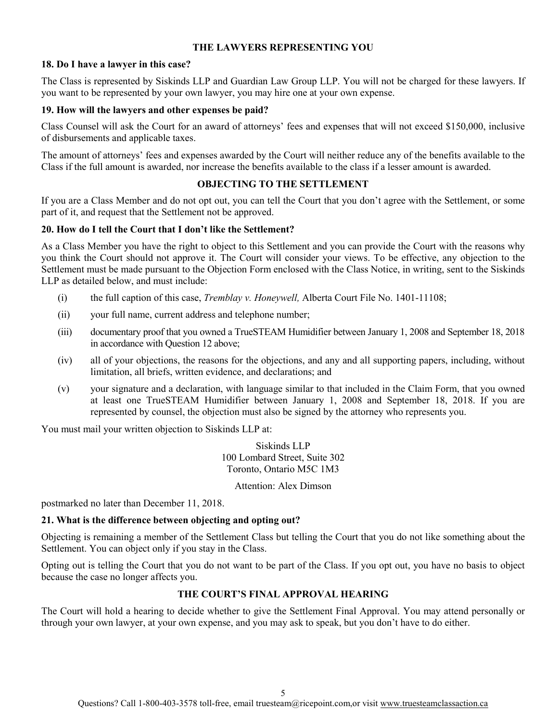## **THE LAWYERS REPRESENTING YOU**

### **18. Do I have a lawyer in this case?**

The Class is represented by Siskinds LLP and Guardian Law Group LLP. You will not be charged for these lawyers. If you want to be represented by your own lawyer, you may hire one at your own expense.

### **19. How will the lawyers and other expenses be paid?**

Class Counsel will ask the Court for an award of attorneys' fees and expenses that will not exceed \$150,000, inclusive of disbursements and applicable taxes.

The amount of attorneys' fees and expenses awarded by the Court will neither reduce any of the benefits available to the Class if the full amount is awarded, nor increase the benefits available to the class if a lesser amount is awarded.

### **OBJECTING TO THE SETTLEMENT**

If you are a Class Member and do not opt out, you can tell the Court that you don't agree with the Settlement, or some part of it, and request that the Settlement not be approved.

### **20. How do I tell the Court that I don't like the Settlement?**

As a Class Member you have the right to object to this Settlement and you can provide the Court with the reasons why you think the Court should not approve it. The Court will consider your views. To be effective, any objection to the Settlement must be made pursuant to the Objection Form enclosed with the Class Notice, in writing, sent to the Siskinds LLP as detailed below, and must include:

- (i) the full caption of this case, *Tremblay v. Honeywell,* Alberta Court File No. 1401-11108;
- (ii) your full name, current address and telephone number;
- (iii) documentary proof that you owned a TrueSTEAM Humidifier between January 1, 2008 and September 18, 2018 in accordance with Question 12 above;
- (iv) all of your objections, the reasons for the objections, and any and all supporting papers, including, without limitation, all briefs, written evidence, and declarations; and
- (v) your signature and a declaration, with language similar to that included in the Claim Form, that you owned at least one TrueSTEAM Humidifier between January 1, 2008 and September 18, 2018. If you are represented by counsel, the objection must also be signed by the attorney who represents you.

You must mail your written objection to Siskinds LLP at:

Siskinds LLP 100 Lombard Street, Suite 302 Toronto, Ontario M5C 1M3

Attention: Alex Dimson

postmarked no later than December 11, 2018.

# **21. What is the difference between objecting and opting out?**

Objecting is remaining a member of the Settlement Class but telling the Court that you do not like something about the Settlement. You can object only if you stay in the Class.

Opting out is telling the Court that you do not want to be part of the Class. If you opt out, you have no basis to object because the case no longer affects you.

# **THE COURT'S FINAL APPROVAL HEARING**

The Court will hold a hearing to decide whether to give the Settlement Final Approval. You may attend personally or through your own lawyer, at your own expense, and you may ask to speak, but you don't have to do either.